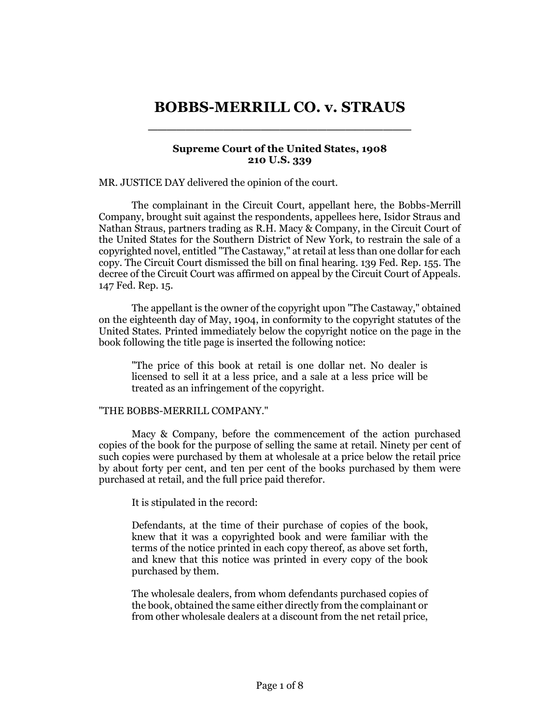## **BOBBS-MERRILL CO. v. STRAUS** \_\_\_\_\_\_\_\_\_\_\_\_\_\_\_\_\_\_\_\_\_\_\_\_\_\_\_\_

## **Supreme Court of the United States, 1908 210 U.S. 339**

MR. JUSTICE DAY delivered the opinion of the court.

The complainant in the Circuit Court, appellant here, the Bobbs-Merrill Company, brought suit against the respondents, appellees here, Isidor Straus and Nathan Straus, partners trading as R.H. Macy & Company, in the Circuit Court of the United States for the Southern District of New York, to restrain the sale of a copyrighted novel, entitled "The Castaway," at retail at less than one dollar for each copy. The Circuit Court dismissed the bill on final hearing. 139 Fed. Rep. 155. The decree of the Circuit Court was affirmed on appeal by the Circuit Court of Appeals. 147 Fed. Rep. 15.

The appellant is the owner of the copyright upon "The Castaway," obtained on the eighteenth day of May, 1904, in conformity to the copyright statutes of the United States. Printed immediately below the copyright notice on the page in the book following the title page is inserted the following notice:

"The price of this book at retail is one dollar net. No dealer is licensed to sell it at a less price, and a sale at a less price will be treated as an infringement of the copyright.

## "THE BOBBS-MERRILL COMPANY."

Macy & Company, before the commencement of the action purchased copies of the book for the purpose of selling the same at retail. Ninety per cent of such copies were purchased by them at wholesale at a price below the retail price by about forty per cent, and ten per cent of the books purchased by them were purchased at retail, and the full price paid therefor.

It is stipulated in the record:

Defendants, at the time of their purchase of copies of the book, knew that it was a copyrighted book and were familiar with the terms of the notice printed in each copy thereof, as above set forth, and knew that this notice was printed in every copy of the book purchased by them.

The wholesale dealers, from whom defendants purchased copies of the book, obtained the same either directly from the complainant or from other wholesale dealers at a discount from the net retail price,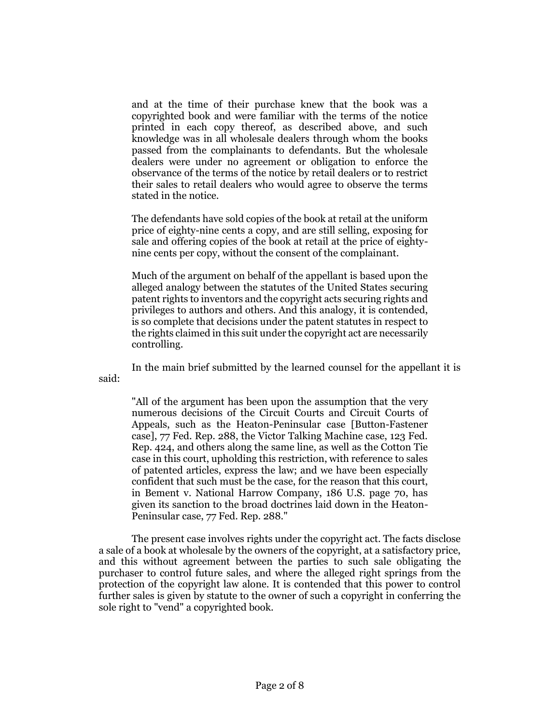and at the time of their purchase knew that the book was a copyrighted book and were familiar with the terms of the notice printed in each copy thereof, as described above, and such knowledge was in all wholesale dealers through whom the books passed from the complainants to defendants. But the wholesale dealers were under no agreement or obligation to enforce the observance of the terms of the notice by retail dealers or to restrict their sales to retail dealers who would agree to observe the terms stated in the notice.

The defendants have sold copies of the book at retail at the uniform price of eighty-nine cents a copy, and are still selling, exposing for sale and offering copies of the book at retail at the price of eightynine cents per copy, without the consent of the complainant.

Much of the argument on behalf of the appellant is based upon the alleged analogy between the statutes of the United States securing patent rights to inventors and the copyright acts securing rights and privileges to authors and others. And this analogy, it is contended, is so complete that decisions under the patent statutes in respect to the rights claimed in this suit under the copyright act are necessarily controlling.

In the main brief submitted by the learned counsel for the appellant it is said:

"All of the argument has been upon the assumption that the very numerous decisions of the Circuit Courts and Circuit Courts of Appeals, such as the Heaton-Peninsular case [Button-Fastener case], 77 Fed. Rep. 288, the Victor Talking Machine case, 123 Fed. Rep. 424, and others along the same line, as well as the Cotton Tie case in this court, upholding this restriction, with reference to sales of patented articles, express the law; and we have been especially confident that such must be the case, for the reason that this court, in Bement v. National Harrow Company, 186 U.S. page 70, has given its sanction to the broad doctrines laid down in the Heaton-Peninsular case, 77 Fed. Rep. 288."

The present case involves rights under the copyright act. The facts disclose a sale of a book at wholesale by the owners of the copyright, at a satisfactory price, and this without agreement between the parties to such sale obligating the purchaser to control future sales, and where the alleged right springs from the protection of the copyright law alone. It is contended that this power to control further sales is given by statute to the owner of such a copyright in conferring the sole right to "vend" a copyrighted book.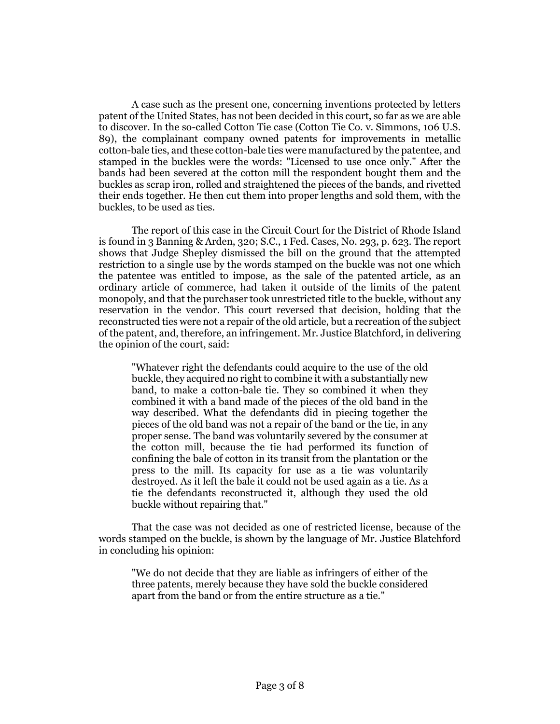A case such as the present one, concerning inventions protected by letters patent of the United States, has not been decided in this court, so far as we are able to discover. In the so-called Cotton Tie case (Cotton Tie Co. v. Simmons, 106 U.S. 89), the complainant company owned patents for improvements in metallic cotton-bale ties, and these cotton-bale ties were manufactured by the patentee, and stamped in the buckles were the words: "Licensed to use once only." After the bands had been severed at the cotton mill the respondent bought them and the buckles as scrap iron, rolled and straightened the pieces of the bands, and rivetted their ends together. He then cut them into proper lengths and sold them, with the buckles, to be used as ties.

The report of this case in the Circuit Court for the District of Rhode Island is found in 3 Banning & Arden, 320; S.C., 1 Fed. Cases, No. 293, p. 623. The report shows that Judge Shepley dismissed the bill on the ground that the attempted restriction to a single use by the words stamped on the buckle was not one which the patentee was entitled to impose, as the sale of the patented article, as an ordinary article of commerce, had taken it outside of the limits of the patent monopoly, and that the purchaser took unrestricted title to the buckle, without any reservation in the vendor. This court reversed that decision, holding that the reconstructed ties were not a repair of the old article, but a recreation of the subject of the patent, and, therefore, an infringement. Mr. Justice Blatchford, in delivering the opinion of the court, said:

"Whatever right the defendants could acquire to the use of the old buckle, they acquired no right to combine it with a substantially new band, to make a cotton-bale tie. They so combined it when they combined it with a band made of the pieces of the old band in the way described. What the defendants did in piecing together the pieces of the old band was not a repair of the band or the tie, in any proper sense. The band was voluntarily severed by the consumer at the cotton mill, because the tie had performed its function of confining the bale of cotton in its transit from the plantation or the press to the mill. Its capacity for use as a tie was voluntarily destroyed. As it left the bale it could not be used again as a tie. As a tie the defendants reconstructed it, although they used the old buckle without repairing that."

That the case was not decided as one of restricted license, because of the words stamped on the buckle, is shown by the language of Mr. Justice Blatchford in concluding his opinion:

"We do not decide that they are liable as infringers of either of the three patents, merely because they have sold the buckle considered apart from the band or from the entire structure as a tie."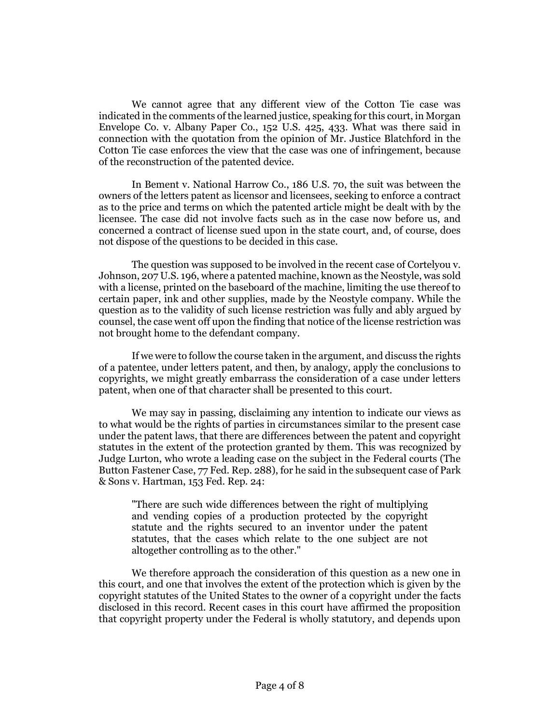We cannot agree that any different view of the Cotton Tie case was indicated in the comments of the learned justice, speaking for this court, in Morgan Envelope Co. v. Albany Paper Co., 152 U.S. 425, 433. What was there said in connection with the quotation from the opinion of Mr. Justice Blatchford in the Cotton Tie case enforces the view that the case was one of infringement, because of the reconstruction of the patented device.

In Bement v. National Harrow Co., 186 U.S. 70, the suit was between the owners of the letters patent as licensor and licensees, seeking to enforce a contract as to the price and terms on which the patented article might be dealt with by the licensee. The case did not involve facts such as in the case now before us, and concerned a contract of license sued upon in the state court, and, of course, does not dispose of the questions to be decided in this case.

The question was supposed to be involved in the recent case of Cortelyou v. Johnson, 207 U.S. 196, where a patented machine, known as the Neostyle, was sold with a license, printed on the baseboard of the machine, limiting the use thereof to certain paper, ink and other supplies, made by the Neostyle company. While the question as to the validity of such license restriction was fully and ably argued by counsel, the case went off upon the finding that notice of the license restriction was not brought home to the defendant company.

If we were to follow the course taken in the argument, and discuss the rights of a patentee, under letters patent, and then, by analogy, apply the conclusions to copyrights, we might greatly embarrass the consideration of a case under letters patent, when one of that character shall be presented to this court.

We may say in passing, disclaiming any intention to indicate our views as to what would be the rights of parties in circumstances similar to the present case under the patent laws, that there are differences between the patent and copyright statutes in the extent of the protection granted by them. This was recognized by Judge Lurton, who wrote a leading case on the subject in the Federal courts (The Button Fastener Case, 77 Fed. Rep. 288), for he said in the subsequent case of Park & Sons v. Hartman, 153 Fed. Rep. 24:

"There are such wide differences between the right of multiplying and vending copies of a production protected by the copyright statute and the rights secured to an inventor under the patent statutes, that the cases which relate to the one subject are not altogether controlling as to the other."

We therefore approach the consideration of this question as a new one in this court, and one that involves the extent of the protection which is given by the copyright statutes of the United States to the owner of a copyright under the facts disclosed in this record. Recent cases in this court have affirmed the proposition that copyright property under the Federal is wholly statutory, and depends upon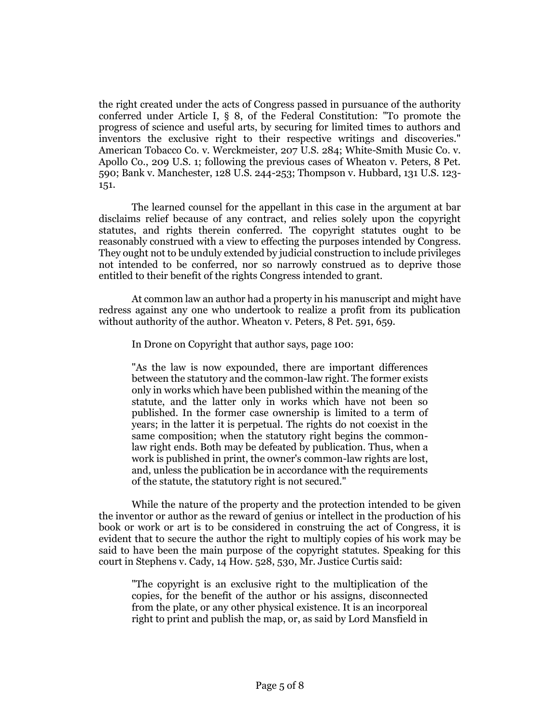the right created under the acts of Congress passed in pursuance of the authority conferred under Article I, § 8, of the Federal Constitution: "To promote the progress of science and useful arts, by securing for limited times to authors and inventors the exclusive right to their respective writings and discoveries." American Tobacco Co. v. Werckmeister, 207 U.S. 284; White-Smith Music Co. v. Apollo Co., 209 U.S. 1; following the previous cases of Wheaton v. Peters, 8 Pet. 590; Bank v. Manchester, 128 U.S. 244-253; Thompson v. Hubbard, 131 U.S. 123- 151.

The learned counsel for the appellant in this case in the argument at bar disclaims relief because of any contract, and relies solely upon the copyright statutes, and rights therein conferred. The copyright statutes ought to be reasonably construed with a view to effecting the purposes intended by Congress. They ought not to be unduly extended by judicial construction to include privileges not intended to be conferred, nor so narrowly construed as to deprive those entitled to their benefit of the rights Congress intended to grant.

At common law an author had a property in his manuscript and might have redress against any one who undertook to realize a profit from its publication without authority of the author. Wheaton v. Peters, 8 Pet. 591, 659.

In Drone on Copyright that author says, page 100:

"As the law is now expounded, there are important differences between the statutory and the common-law right. The former exists only in works which have been published within the meaning of the statute, and the latter only in works which have not been so published. In the former case ownership is limited to a term of years; in the latter it is perpetual. The rights do not coexist in the same composition; when the statutory right begins the commonlaw right ends. Both may be defeated by publication. Thus, when a work is published in print, the owner's common-law rights are lost, and, unless the publication be in accordance with the requirements of the statute, the statutory right is not secured."

While the nature of the property and the protection intended to be given the inventor or author as the reward of genius or intellect in the production of his book or work or art is to be considered in construing the act of Congress, it is evident that to secure the author the right to multiply copies of his work may be said to have been the main purpose of the copyright statutes. Speaking for this court in Stephens v. Cady, 14 How. 528, 530, Mr. Justice Curtis said:

"The copyright is an exclusive right to the multiplication of the copies, for the benefit of the author or his assigns, disconnected from the plate, or any other physical existence. It is an incorporeal right to print and publish the map, or, as said by Lord Mansfield in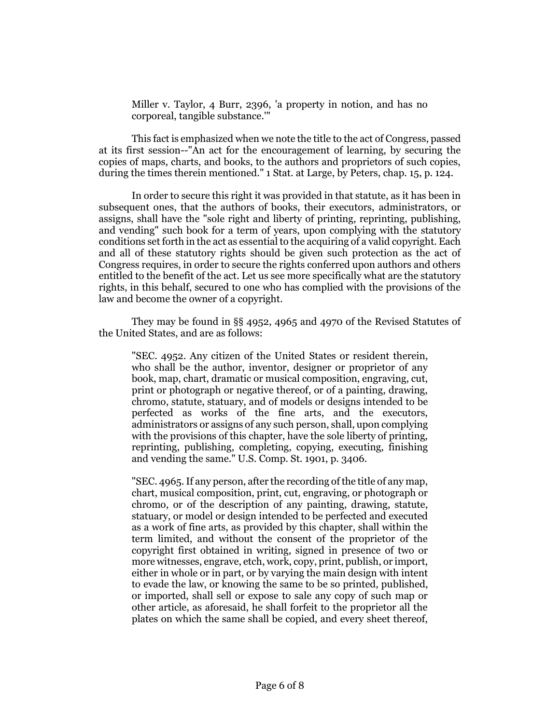Miller v. Taylor, 4 Burr, 2396, 'a property in notion, and has no corporeal, tangible substance.'"

This fact is emphasized when we note the title to the act of Congress, passed at its first session--"An act for the encouragement of learning, by securing the copies of maps, charts, and books, to the authors and proprietors of such copies, during the times therein mentioned." 1 Stat. at Large, by Peters, chap. 15, p. 124.

In order to secure this right it was provided in that statute, as it has been in subsequent ones, that the authors of books, their executors, administrators, or assigns, shall have the "sole right and liberty of printing, reprinting, publishing, and vending" such book for a term of years, upon complying with the statutory conditions set forth in the act as essential to the acquiring of a valid copyright. Each and all of these statutory rights should be given such protection as the act of Congress requires, in order to secure the rights conferred upon authors and others entitled to the benefit of the act. Let us see more specifically what are the statutory rights, in this behalf, secured to one who has complied with the provisions of the law and become the owner of a copyright.

They may be found in §§ 4952, 4965 and 4970 of the Revised Statutes of the United States, and are as follows:

"SEC. 4952. Any citizen of the United States or resident therein, who shall be the author, inventor, designer or proprietor of any book, map, chart, dramatic or musical composition, engraving, cut, print or photograph or negative thereof, or of a painting, drawing, chromo, statute, statuary, and of models or designs intended to be perfected as works of the fine arts, and the executors, administrators or assigns of any such person, shall, upon complying with the provisions of this chapter, have the sole liberty of printing, reprinting, publishing, completing, copying, executing, finishing and vending the same." U.S. Comp. St. 1901, p. 3406.

"SEC. 4965. If any person, after the recording of the title of any map, chart, musical composition, print, cut, engraving, or photograph or chromo, or of the description of any painting, drawing, statute, statuary, or model or design intended to be perfected and executed as a work of fine arts, as provided by this chapter, shall within the term limited, and without the consent of the proprietor of the copyright first obtained in writing, signed in presence of two or more witnesses, engrave, etch, work, copy, print, publish, or import, either in whole or in part, or by varying the main design with intent to evade the law, or knowing the same to be so printed, published, or imported, shall sell or expose to sale any copy of such map or other article, as aforesaid, he shall forfeit to the proprietor all the plates on which the same shall be copied, and every sheet thereof,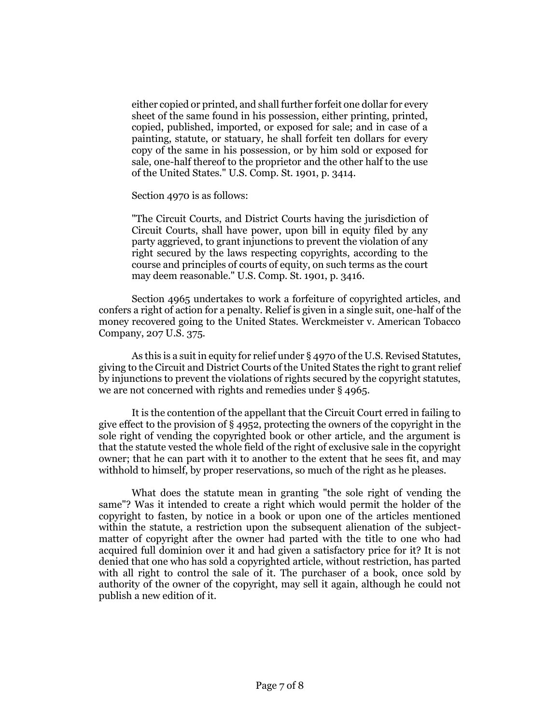either copied or printed, and shall further forfeit one dollar for every sheet of the same found in his possession, either printing, printed, copied, published, imported, or exposed for sale; and in case of a painting, statute, or statuary, he shall forfeit ten dollars for every copy of the same in his possession, or by him sold or exposed for sale, one-half thereof to the proprietor and the other half to the use of the United States." U.S. Comp. St. 1901, p. 3414.

Section 4970 is as follows:

"The Circuit Courts, and District Courts having the jurisdiction of Circuit Courts, shall have power, upon bill in equity filed by any party aggrieved, to grant injunctions to prevent the violation of any right secured by the laws respecting copyrights, according to the course and principles of courts of equity, on such terms as the court may deem reasonable." U.S. Comp. St. 1901, p. 3416.

Section 4965 undertakes to work a forfeiture of copyrighted articles, and confers a right of action for a penalty. Relief is given in a single suit, one-half of the money recovered going to the United States. Werckmeister v. American Tobacco Company, 207 U.S. 375.

As this is a suit in equity for relief under § 4970 of the U.S. Revised Statutes, giving to the Circuit and District Courts of the United States the right to grant relief by injunctions to prevent the violations of rights secured by the copyright statutes, we are not concerned with rights and remedies under § 4965.

It is the contention of the appellant that the Circuit Court erred in failing to give effect to the provision of § 4952, protecting the owners of the copyright in the sole right of vending the copyrighted book or other article, and the argument is that the statute vested the whole field of the right of exclusive sale in the copyright owner; that he can part with it to another to the extent that he sees fit, and may withhold to himself, by proper reservations, so much of the right as he pleases.

What does the statute mean in granting "the sole right of vending the same"? Was it intended to create a right which would permit the holder of the copyright to fasten, by notice in a book or upon one of the articles mentioned within the statute, a restriction upon the subsequent alienation of the subjectmatter of copyright after the owner had parted with the title to one who had acquired full dominion over it and had given a satisfactory price for it? It is not denied that one who has sold a copyrighted article, without restriction, has parted with all right to control the sale of it. The purchaser of a book, once sold by authority of the owner of the copyright, may sell it again, although he could not publish a new edition of it.